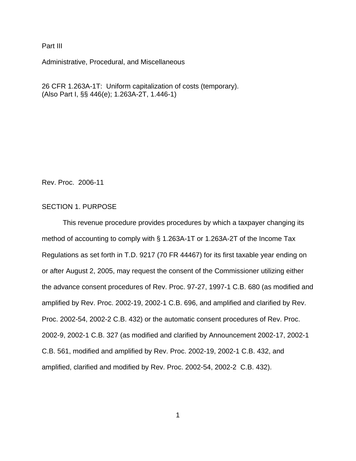Part III

Administrative, Procedural, and Miscellaneous

26 CFR 1.263A-1T: Uniform capitalization of costs (temporary). (Also Part I, §§ 446(e); 1.263A-2T, 1.446-1)

Rev. Proc. 2006-11

## SECTION 1. PURPOSE

This revenue procedure provides procedures by which a taxpayer changing its method of accounting to comply with § 1.263A-1T or 1.263A-2T of the Income Tax Regulations as set forth in T.D. 9217 (70 FR 44467) for its first taxable year ending on or after August 2, 2005, may request the consent of the Commissioner utilizing either the advance consent procedures of Rev. Proc. 97-27, 1997-1 C.B. 680 (as modified and amplified by Rev. Proc. 2002-19, 2002-1 C.B. 696, and amplified and clarified by Rev. Proc. 2002-54, 2002-2 C.B. 432) or the automatic consent procedures of Rev. Proc. 2002-9, 2002-1 C.B. 327 (as modified and clarified by Announcement 2002-17, 2002-1 C.B. 561, modified and amplified by Rev. Proc. 2002-19, 2002-1 C.B. 432, and amplified, clarified and modified by Rev. Proc. 2002-54, 2002-2 C.B. 432).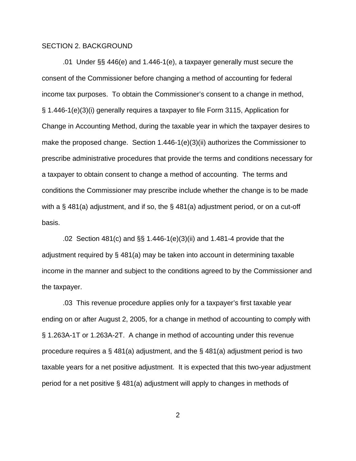#### SECTION 2. BACKGROUND

 .01 Under §§ 446(e) and 1.446-1(e), a taxpayer generally must secure the consent of the Commissioner before changing a method of accounting for federal income tax purposes. To obtain the Commissioner's consent to a change in method, § 1.446-1(e)(3)(i) generally requires a taxpayer to file Form 3115, Application for Change in Accounting Method, during the taxable year in which the taxpayer desires to make the proposed change. Section 1.446-1(e)(3)(ii) authorizes the Commissioner to prescribe administrative procedures that provide the terms and conditions necessary for a taxpayer to obtain consent to change a method of accounting. The terms and conditions the Commissioner may prescribe include whether the change is to be made with a § 481(a) adjustment, and if so, the § 481(a) adjustment period, or on a cut-off basis.

.02 Section 481(c) and §§ 1.446-1(e)(3)(ii) and 1.481-4 provide that the adjustment required by § 481(a) may be taken into account in determining taxable income in the manner and subject to the conditions agreed to by the Commissioner and the taxpayer.

.03 This revenue procedure applies only for a taxpayer's first taxable year ending on or after August 2, 2005, for a change in method of accounting to comply with § 1.263A-1T or 1.263A-2T. A change in method of accounting under this revenue procedure requires a  $\S$  481(a) adjustment, and the  $\S$  481(a) adjustment period is two taxable years for a net positive adjustment. It is expected that this two-year adjustment period for a net positive § 481(a) adjustment will apply to changes in methods of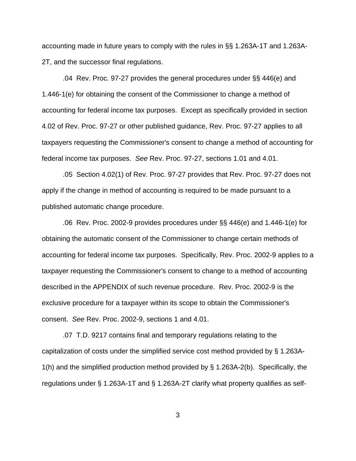accounting made in future years to comply with the rules in §§ 1.263A-1T and 1.263A-2T, and the successor final regulations.

.04 Rev. Proc. 97-27 provides the general procedures under §§ 446(e) and 1.446-1(e) for obtaining the consent of the Commissioner to change a method of accounting for federal income tax purposes. Except as specifically provided in section 4.02 of Rev. Proc. 97-27 or other published guidance, Rev. Proc. 97-27 applies to all taxpayers requesting the Commissioner's consent to change a method of accounting for federal income tax purposes. *See* Rev. Proc. 97-27, sections 1.01 and 4.01.

.05 Section 4.02(1) of Rev. Proc. 97-27 provides that Rev. Proc. 97-27 does not apply if the change in method of accounting is required to be made pursuant to a published automatic change procedure.

.06 Rev. Proc. 2002-9 provides procedures under §§ 446(e) and 1.446-1(e) for obtaining the automatic consent of the Commissioner to change certain methods of accounting for federal income tax purposes. Specifically, Rev. Proc. 2002-9 applies to a taxpayer requesting the Commissioner's consent to change to a method of accounting described in the APPENDIX of such revenue procedure. Rev. Proc. 2002-9 is the exclusive procedure for a taxpayer within its scope to obtain the Commissioner's consent. *See* Rev. Proc. 2002-9, sections 1 and 4.01.

.07 T.D. 9217 contains final and temporary regulations relating to the capitalization of costs under the simplified service cost method provided by § 1.263A-1(h) and the simplified production method provided by § 1.263A-2(b). Specifically, the regulations under § 1.263A-1T and § 1.263A-2T clarify what property qualifies as self-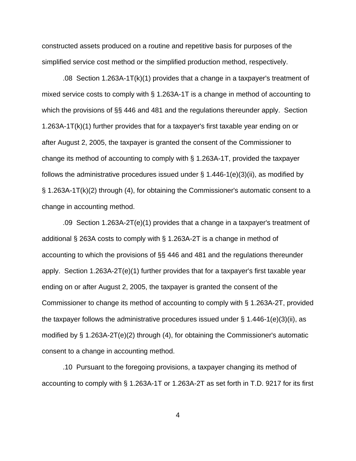constructed assets produced on a routine and repetitive basis for purposes of the simplified service cost method or the simplified production method, respectively.

.08 Section 1.263A-1T(k)(1) provides that a change in a taxpayer's treatment of mixed service costs to comply with § 1.263A-1T is a change in method of accounting to which the provisions of §§ 446 and 481 and the regulations thereunder apply. Section 1.263A-1T(k)(1) further provides that for a taxpayer's first taxable year ending on or after August 2, 2005, the taxpayer is granted the consent of the Commissioner to change its method of accounting to comply with § 1.263A-1T, provided the taxpayer follows the administrative procedures issued under  $\S$  1.446-1(e)(3)(ii), as modified by § 1.263A-1T(k)(2) through (4), for obtaining the Commissioner's automatic consent to a change in accounting method.

.09 Section 1.263A-2T(e)(1) provides that a change in a taxpayer's treatment of additional § 263A costs to comply with § 1.263A-2T is a change in method of accounting to which the provisions of §§ 446 and 481 and the regulations thereunder apply. Section 1.263A-2T(e)(1) further provides that for a taxpayer's first taxable year ending on or after August 2, 2005, the taxpayer is granted the consent of the Commissioner to change its method of accounting to comply with § 1.263A-2T, provided the taxpayer follows the administrative procedures issued under  $\S$  1.446-1(e)(3)(ii), as modified by § 1.263A-2T(e)(2) through (4), for obtaining the Commissioner's automatic consent to a change in accounting method.

.10 Pursuant to the foregoing provisions, a taxpayer changing its method of accounting to comply with § 1.263A-1T or 1.263A-2T as set forth in T.D. 9217 for its first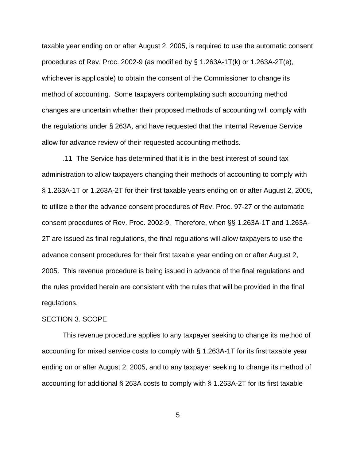taxable year ending on or after August 2, 2005, is required to use the automatic consent procedures of Rev. Proc. 2002-9 (as modified by § 1.263A-1T(k) or 1.263A-2T(e), whichever is applicable) to obtain the consent of the Commissioner to change its method of accounting. Some taxpayers contemplating such accounting method changes are uncertain whether their proposed methods of accounting will comply with the regulations under § 263A, and have requested that the Internal Revenue Service allow for advance review of their requested accounting methods.

.11 The Service has determined that it is in the best interest of sound tax administration to allow taxpayers changing their methods of accounting to comply with § 1.263A-1T or 1.263A-2T for their first taxable years ending on or after August 2, 2005, to utilize either the advance consent procedures of Rev. Proc. 97-27 or the automatic consent procedures of Rev. Proc. 2002-9. Therefore, when §§ 1.263A-1T and 1.263A-2T are issued as final regulations, the final regulations will allow taxpayers to use the advance consent procedures for their first taxable year ending on or after August 2, 2005. This revenue procedure is being issued in advance of the final regulations and the rules provided herein are consistent with the rules that will be provided in the final regulations.

#### SECTION 3. SCOPE

 This revenue procedure applies to any taxpayer seeking to change its method of accounting for mixed service costs to comply with § 1.263A-1T for its first taxable year ending on or after August 2, 2005, and to any taxpayer seeking to change its method of accounting for additional § 263A costs to comply with § 1.263A-2T for its first taxable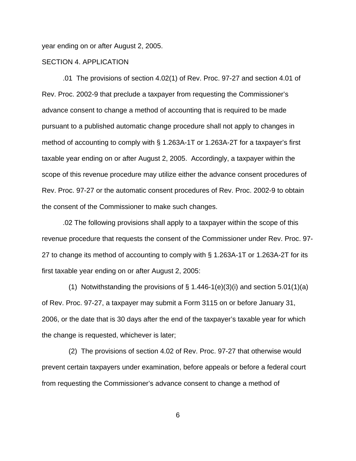year ending on or after August 2, 2005.

### SECTION 4. APPLICATION

.01 The provisions of section 4.02(1) of Rev. Proc. 97-27 and section 4.01 of Rev. Proc. 2002-9 that preclude a taxpayer from requesting the Commissioner's advance consent to change a method of accounting that is required to be made pursuant to a published automatic change procedure shall not apply to changes in method of accounting to comply with § 1.263A-1T or 1.263A-2T for a taxpayer's first taxable year ending on or after August 2, 2005. Accordingly, a taxpayer within the scope of this revenue procedure may utilize either the advance consent procedures of Rev. Proc. 97-27 or the automatic consent procedures of Rev. Proc. 2002-9 to obtain the consent of the Commissioner to make such changes.

.02 The following provisions shall apply to a taxpayer within the scope of this revenue procedure that requests the consent of the Commissioner under Rev. Proc. 97- 27 to change its method of accounting to comply with § 1.263A-1T or 1.263A-2T for its first taxable year ending on or after August 2, 2005:

(1) Notwithstanding the provisions of  $\S$  1.446-1(e)(3)(i) and section 5.01(1)(a) of Rev. Proc. 97-27, a taxpayer may submit a Form 3115 on or before January 31, 2006, or the date that is 30 days after the end of the taxpayer's taxable year for which the change is requested, whichever is later;

 (2) The provisions of section 4.02 of Rev. Proc. 97-27 that otherwise would prevent certain taxpayers under examination, before appeals or before a federal court from requesting the Commissioner's advance consent to change a method of